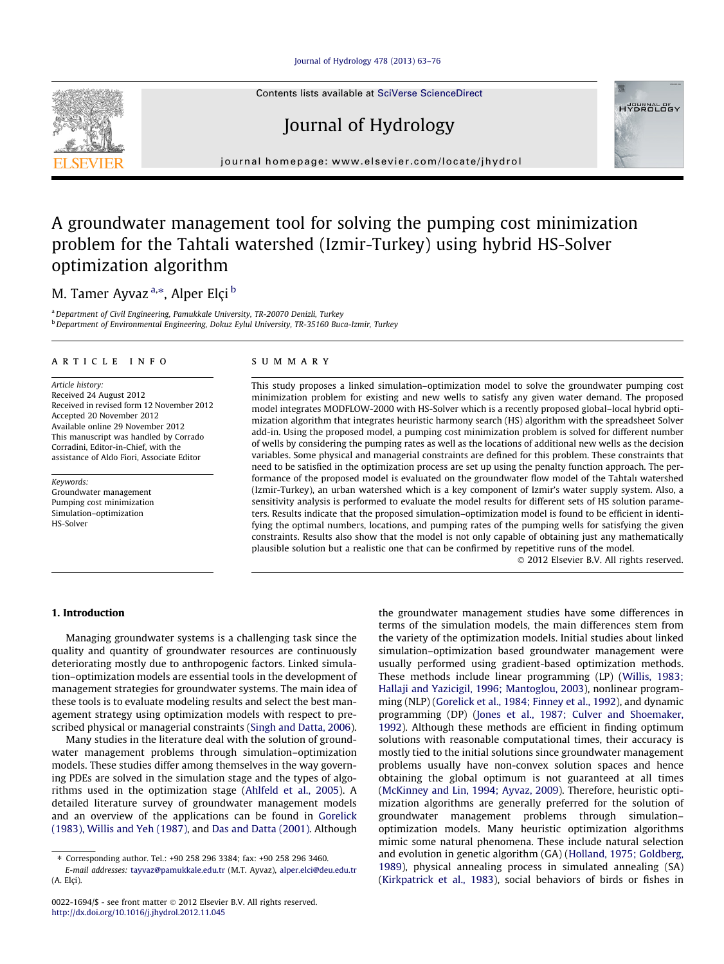#### [Journal of Hydrology 478 \(2013\) 63–76](http://dx.doi.org/10.1016/j.jhydrol.2012.11.045)

Contents lists available at [SciVerse ScienceDirect](http://www.sciencedirect.com/science/journal/00221694)

# Journal of Hydrology

journal homepage: [www.elsevier.com/locate/jhydrol](http://www.elsevier.com/locate/jhydrol)

## A groundwater management tool for solving the pumping cost minimization problem for the Tahtali watershed (Izmir-Turkey) using hybrid HS-Solver optimization algorithm

### M. Tamer Ayvaz <sup>a,</sup>\*, Alper Elçi <sup>b</sup>

<sup>a</sup> Department of Civil Engineering, Pamukkale University, TR-20070 Denizli, Turkey <sup>b</sup> Department of Environmental Engineering, Dokuz Eylul University, TR-35160 Buca-Izmir, Turkey

#### article info

Article history: Received 24 August 2012 Received in revised form 12 November 2012 Accepted 20 November 2012 Available online 29 November 2012 This manuscript was handled by Corrado Corradini, Editor-in-Chief, with the assistance of Aldo Fiori, Associate Editor

Keywords: Groundwater management Pumping cost minimization Simulation–optimization HS-Solver

#### summary

This study proposes a linked simulation–optimization model to solve the groundwater pumping cost minimization problem for existing and new wells to satisfy any given water demand. The proposed model integrates MODFLOW-2000 with HS-Solver which is a recently proposed global–local hybrid optimization algorithm that integrates heuristic harmony search (HS) algorithm with the spreadsheet Solver add-in. Using the proposed model, a pumping cost minimization problem is solved for different number of wells by considering the pumping rates as well as the locations of additional new wells as the decision variables. Some physical and managerial constraints are defined for this problem. These constraints that need to be satisfied in the optimization process are set up using the penalty function approach. The performance of the proposed model is evaluated on the groundwater flow model of the Tahtalı watershed (Izmir-Turkey), an urban watershed which is a key component of Izmir's water supply system. Also, a sensitivity analysis is performed to evaluate the model results for different sets of HS solution parameters. Results indicate that the proposed simulation–optimization model is found to be efficient in identifying the optimal numbers, locations, and pumping rates of the pumping wells for satisfying the given constraints. Results also show that the model is not only capable of obtaining just any mathematically plausible solution but a realistic one that can be confirmed by repetitive runs of the model.

- 2012 Elsevier B.V. All rights reserved.

**HYDROLOGY** 

#### 1. Introduction

Managing groundwater systems is a challenging task since the quality and quantity of groundwater resources are continuously deteriorating mostly due to anthropogenic factors. Linked simulation–optimization models are essential tools in the development of management strategies for groundwater systems. The main idea of these tools is to evaluate modeling results and select the best management strategy using optimization models with respect to prescribed physical or managerial constraints [\(Singh and Datta, 2006\)](#page--1-0).

Many studies in the literature deal with the solution of groundwater management problems through simulation–optimization models. These studies differ among themselves in the way governing PDEs are solved in the simulation stage and the types of algorithms used in the optimization stage [\(Ahlfeld et al., 2005\)](#page--1-0). A detailed literature survey of groundwater management models and an overview of the applications can be found in [Gorelick](#page--1-0) [\(1983\), Willis and Yeh \(1987\)](#page--1-0), and [Das and Datta \(2001\).](#page--1-0) Although

the groundwater management studies have some differences in terms of the simulation models, the main differences stem from the variety of the optimization models. Initial studies about linked simulation–optimization based groundwater management were usually performed using gradient-based optimization methods. These methods include linear programming (LP) [\(Willis, 1983;](#page--1-0) [Hallaji and Yazicigil, 1996; Mantoglou, 2003\)](#page--1-0), nonlinear programming (NLP) ([Gorelick et al., 1984; Finney et al., 1992](#page--1-0)), and dynamic programming (DP) [\(Jones et al., 1987; Culver and Shoemaker,](#page--1-0) [1992\)](#page--1-0). Although these methods are efficient in finding optimum solutions with reasonable computational times, their accuracy is mostly tied to the initial solutions since groundwater management problems usually have non-convex solution spaces and hence obtaining the global optimum is not guaranteed at all times ([McKinney and Lin, 1994; Ayvaz, 2009\)](#page--1-0). Therefore, heuristic optimization algorithms are generally preferred for the solution of groundwater management problems through simulation– optimization models. Many heuristic optimization algorithms mimic some natural phenomena. These include natural selection and evolution in genetic algorithm (GA) ([Holland, 1975; Goldberg,](#page--1-0) [1989\)](#page--1-0), physical annealing process in simulated annealing (SA) ([Kirkpatrick et al., 1983](#page--1-0)), social behaviors of birds or fishes in



<sup>⇑</sup> Corresponding author. Tel.: +90 258 296 3384; fax: +90 258 296 3460.

E-mail addresses: [tayvaz@pamukkale.edu.tr](mailto:tayvaz@pamukkale.edu.tr) (M.T. Ayvaz), [alper.elci@deu.edu.tr](mailto:alper.elci@deu.edu.tr) (A. Elçi).

<sup>0022-1694/\$ -</sup> see front matter © 2012 Elsevier B.V. All rights reserved. <http://dx.doi.org/10.1016/j.jhydrol.2012.11.045>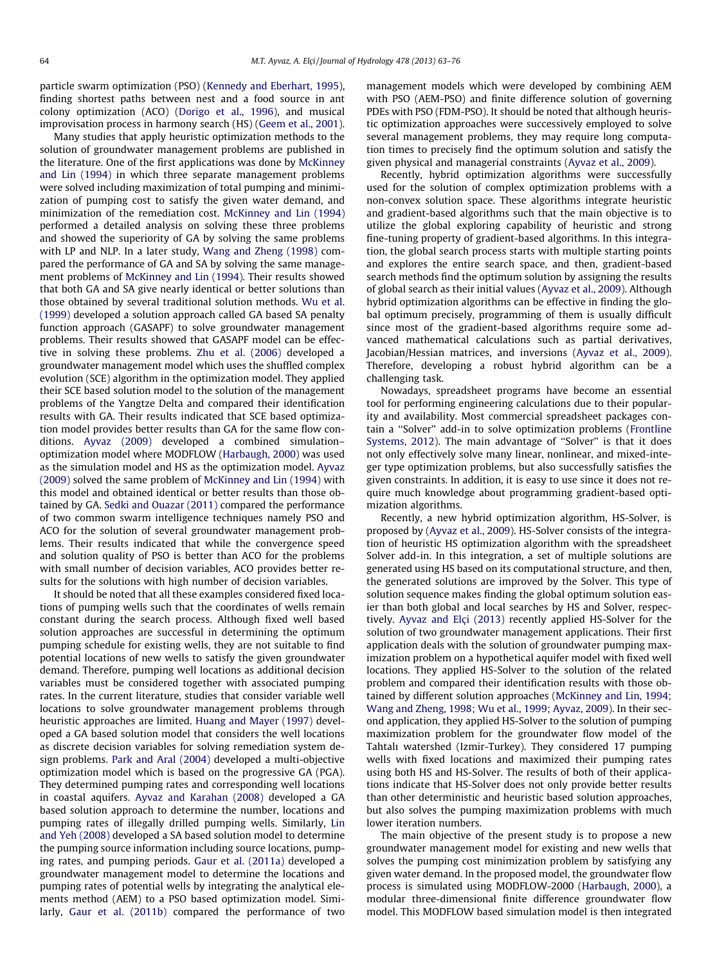particle swarm optimization (PSO) [\(Kennedy and Eberhart, 1995\)](#page--1-0), finding shortest paths between nest and a food source in ant colony optimization (ACO) [\(Dorigo et al., 1996](#page--1-0)), and musical improvisation process in harmony search (HS) [\(Geem et al., 2001\)](#page--1-0).

Many studies that apply heuristic optimization methods to the solution of groundwater management problems are published in the literature. One of the first applications was done by [McKinney](#page--1-0) [and Lin \(1994\)](#page--1-0) in which three separate management problems were solved including maximization of total pumping and minimization of pumping cost to satisfy the given water demand, and minimization of the remediation cost. [McKinney and Lin \(1994\)](#page--1-0) performed a detailed analysis on solving these three problems and showed the superiority of GA by solving the same problems with LP and NLP. In a later study, [Wang and Zheng \(1998\)](#page--1-0) compared the performance of GA and SA by solving the same management problems of [McKinney and Lin \(1994\).](#page--1-0) Their results showed that both GA and SA give nearly identical or better solutions than those obtained by several traditional solution methods. [Wu et al.](#page--1-0) [\(1999\)](#page--1-0) developed a solution approach called GA based SA penalty function approach (GASAPF) to solve groundwater management problems. Their results showed that GASAPF model can be effective in solving these problems. [Zhu et al. \(2006\)](#page--1-0) developed a groundwater management model which uses the shuffled complex evolution (SCE) algorithm in the optimization model. They applied their SCE based solution model to the solution of the management problems of the Yangtze Delta and compared their identification results with GA. Their results indicated that SCE based optimization model provides better results than GA for the same flow conditions. [Ayvaz \(2009\)](#page--1-0) developed a combined simulation– optimization model where MODFLOW [\(Harbaugh, 2000](#page--1-0)) was used as the simulation model and HS as the optimization model. [Ayvaz](#page--1-0) [\(2009\)](#page--1-0) solved the same problem of [McKinney and Lin \(1994\)](#page--1-0) with this model and obtained identical or better results than those obtained by GA. [Sedki and Ouazar \(2011\)](#page--1-0) compared the performance of two common swarm intelligence techniques namely PSO and ACO for the solution of several groundwater management problems. Their results indicated that while the convergence speed and solution quality of PSO is better than ACO for the problems with small number of decision variables, ACO provides better results for the solutions with high number of decision variables.

It should be noted that all these examples considered fixed locations of pumping wells such that the coordinates of wells remain constant during the search process. Although fixed well based solution approaches are successful in determining the optimum pumping schedule for existing wells, they are not suitable to find potential locations of new wells to satisfy the given groundwater demand. Therefore, pumping well locations as additional decision variables must be considered together with associated pumping rates. In the current literature, studies that consider variable well locations to solve groundwater management problems through heuristic approaches are limited. [Huang and Mayer \(1997\)](#page--1-0) developed a GA based solution model that considers the well locations as discrete decision variables for solving remediation system design problems. [Park and Aral \(2004\)](#page--1-0) developed a multi-objective optimization model which is based on the progressive GA (PGA). They determined pumping rates and corresponding well locations in coastal aquifers. [Ayvaz and Karahan \(2008\)](#page--1-0) developed a GA based solution approach to determine the number, locations and pumping rates of illegally drilled pumping wells. Similarly, [Lin](#page--1-0) [and Yeh \(2008\)](#page--1-0) developed a SA based solution model to determine the pumping source information including source locations, pumping rates, and pumping periods. [Gaur et al. \(2011a\)](#page--1-0) developed a groundwater management model to determine the locations and pumping rates of potential wells by integrating the analytical elements method (AEM) to a PSO based optimization model. Similarly, [Gaur et al. \(2011b\)](#page--1-0) compared the performance of two management models which were developed by combining AEM with PSO (AEM-PSO) and finite difference solution of governing PDEs with PSO (FDM-PSO). It should be noted that although heuristic optimization approaches were successively employed to solve several management problems, they may require long computation times to precisely find the optimum solution and satisfy the given physical and managerial constraints ([Ayvaz et al., 2009](#page--1-0)).

Recently, hybrid optimization algorithms were successfully used for the solution of complex optimization problems with a non-convex solution space. These algorithms integrate heuristic and gradient-based algorithms such that the main objective is to utilize the global exploring capability of heuristic and strong fine-tuning property of gradient-based algorithms. In this integration, the global search process starts with multiple starting points and explores the entire search space, and then, gradient-based search methods find the optimum solution by assigning the results of global search as their initial values ([Ayvaz et al., 2009](#page--1-0)). Although hybrid optimization algorithms can be effective in finding the global optimum precisely, programming of them is usually difficult since most of the gradient-based algorithms require some advanced mathematical calculations such as partial derivatives, Jacobian/Hessian matrices, and inversions [\(Ayvaz et al., 2009\)](#page--1-0). Therefore, developing a robust hybrid algorithm can be a challenging task.

Nowadays, spreadsheet programs have become an essential tool for performing engineering calculations due to their popularity and availability. Most commercial spreadsheet packages contain a ''Solver'' add-in to solve optimization problems ([Frontline](#page--1-0) [Systems, 2012\)](#page--1-0). The main advantage of ''Solver'' is that it does not only effectively solve many linear, nonlinear, and mixed-integer type optimization problems, but also successfully satisfies the given constraints. In addition, it is easy to use since it does not require much knowledge about programming gradient-based optimization algorithms.

Recently, a new hybrid optimization algorithm, HS-Solver, is proposed by ([Ayvaz et al., 2009\)](#page--1-0). HS-Solver consists of the integration of heuristic HS optimization algorithm with the spreadsheet Solver add-in. In this integration, a set of multiple solutions are generated using HS based on its computational structure, and then, the generated solutions are improved by the Solver. This type of solution sequence makes finding the global optimum solution easier than both global and local searches by HS and Solver, respectively. [Ayvaz and Elçi \(2013\)](#page--1-0) recently applied HS-Solver for the solution of two groundwater management applications. Their first application deals with the solution of groundwater pumping maximization problem on a hypothetical aquifer model with fixed well locations. They applied HS-Solver to the solution of the related problem and compared their identification results with those obtained by different solution approaches [\(McKinney and Lin, 1994;](#page--1-0) [Wang and Zheng, 1998; Wu et al., 1999; Ayvaz, 2009\)](#page--1-0). In their second application, they applied HS-Solver to the solution of pumping maximization problem for the groundwater flow model of the Tahtalı watershed (Izmir-Turkey). They considered 17 pumping wells with fixed locations and maximized their pumping rates using both HS and HS-Solver. The results of both of their applications indicate that HS-Solver does not only provide better results than other deterministic and heuristic based solution approaches, but also solves the pumping maximization problems with much lower iteration numbers.

The main objective of the present study is to propose a new groundwater management model for existing and new wells that solves the pumping cost minimization problem by satisfying any given water demand. In the proposed model, the groundwater flow process is simulated using MODFLOW-2000 ([Harbaugh, 2000](#page--1-0)), a modular three-dimensional finite difference groundwater flow model. This MODFLOW based simulation model is then integrated